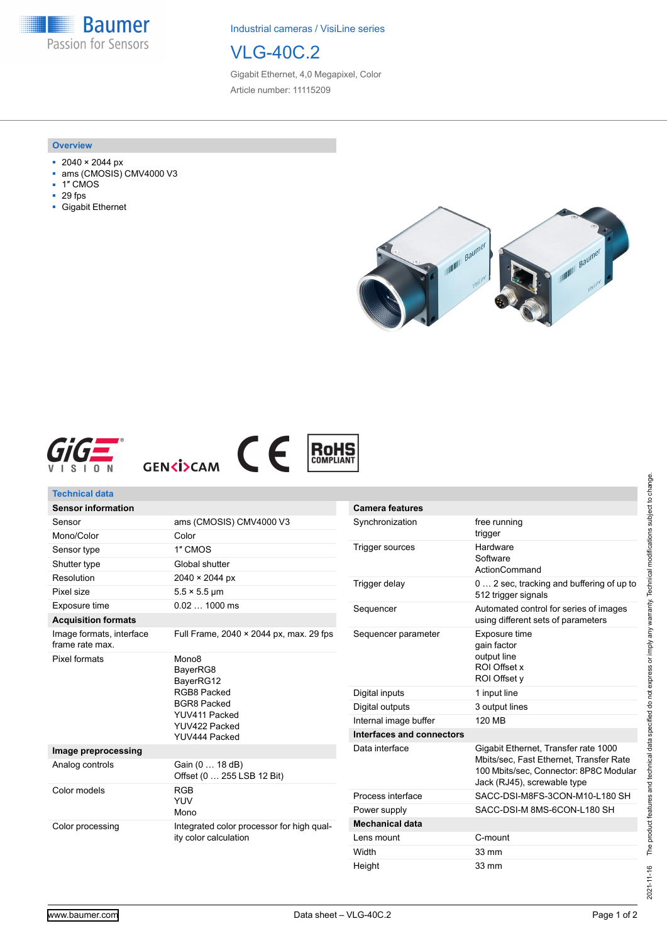**Baumer** Passion for Sensors

Industrial cameras / VisiLine series

# VLG-40C.2

Gigabit Ethernet, 4,0 Megapixel, Color Article number: 11115209

#### **Overview**

- 2040 × 2044 px
- ams (CMOSIS) CMV4000 V3
- 1″ CMOS
- 29 fps
- Gigabit Ethernet









| <b>Technical data</b>                       |                                                                                                                                    |                           |                                                                                                                                                          |
|---------------------------------------------|------------------------------------------------------------------------------------------------------------------------------------|---------------------------|----------------------------------------------------------------------------------------------------------------------------------------------------------|
| <b>Sensor information</b>                   |                                                                                                                                    | <b>Camera features</b>    |                                                                                                                                                          |
| Sensor                                      | ams (CMOSIS) CMV4000 V3                                                                                                            | Synchronization           | free running<br>trigger                                                                                                                                  |
| Mono/Color                                  | Color                                                                                                                              |                           |                                                                                                                                                          |
| Sensor type                                 | 1" CMOS                                                                                                                            | <b>Trigger sources</b>    | Hardware<br>Software<br>ActionCommand                                                                                                                    |
| Shutter type                                | Global shutter                                                                                                                     |                           |                                                                                                                                                          |
| Resolution                                  | 2040 × 2044 px                                                                                                                     | Trigger delay             | 0  2 sec, tracking and buffering of up to<br>512 trigger signals                                                                                         |
| Pixel size                                  | $5.5 \times 5.5$ µm                                                                                                                |                           |                                                                                                                                                          |
| Exposure time                               | $0.021000$ ms                                                                                                                      | Sequencer                 | Automated control for series of images<br>using different sets of parameters                                                                             |
| <b>Acquisition formats</b>                  |                                                                                                                                    |                           |                                                                                                                                                          |
| Image formats, interface<br>frame rate max. | Full Frame, $2040 \times 2044$ px, max. 29 fps                                                                                     | Sequencer parameter       | Exposure time<br>gain factor                                                                                                                             |
| Pixel formats                               | Mono <sub>8</sub><br>BayerRG8<br>BayerRG12<br>RGB8 Packed<br><b>BGR8 Packed</b><br>YUV411 Packed<br>YUV422 Packed<br>YUV444 Packed |                           | output line<br>ROI Offset x                                                                                                                              |
|                                             |                                                                                                                                    |                           | ROI Offset y                                                                                                                                             |
|                                             |                                                                                                                                    | Digital inputs            | 1 input line                                                                                                                                             |
|                                             |                                                                                                                                    | Digital outputs           | 3 output lines                                                                                                                                           |
|                                             |                                                                                                                                    | Internal image buffer     | <b>120 MB</b>                                                                                                                                            |
|                                             |                                                                                                                                    | Interfaces and connectors |                                                                                                                                                          |
| Image preprocessing                         |                                                                                                                                    | Data interface            | Gigabit Ethernet, Transfer rate 1000<br>Mbits/sec, Fast Ethernet, Transfer Rate<br>100 Mbits/sec. Connector: 8P8C Modular<br>Jack (RJ45), screwable type |
| Analog controls                             | Gain (0  18 dB)<br>Offset (0  255 LSB 12 Bit)                                                                                      |                           |                                                                                                                                                          |
| Color models                                | <b>RGB</b><br><b>YUV</b><br>Mono                                                                                                   | Process interface         | SACC-DSI-M8FS-3CON-M10-L180 SH                                                                                                                           |
|                                             |                                                                                                                                    | Power supply              | SACC-DSI-M 8MS-6CON-L180 SH                                                                                                                              |
| Color processing                            | Integrated color processor for high gual-<br>ity color calculation                                                                 | <b>Mechanical data</b>    |                                                                                                                                                          |
|                                             |                                                                                                                                    | Lens mount                | C-mount                                                                                                                                                  |
|                                             |                                                                                                                                    | Width                     | 33 mm                                                                                                                                                    |

Height 33 mm